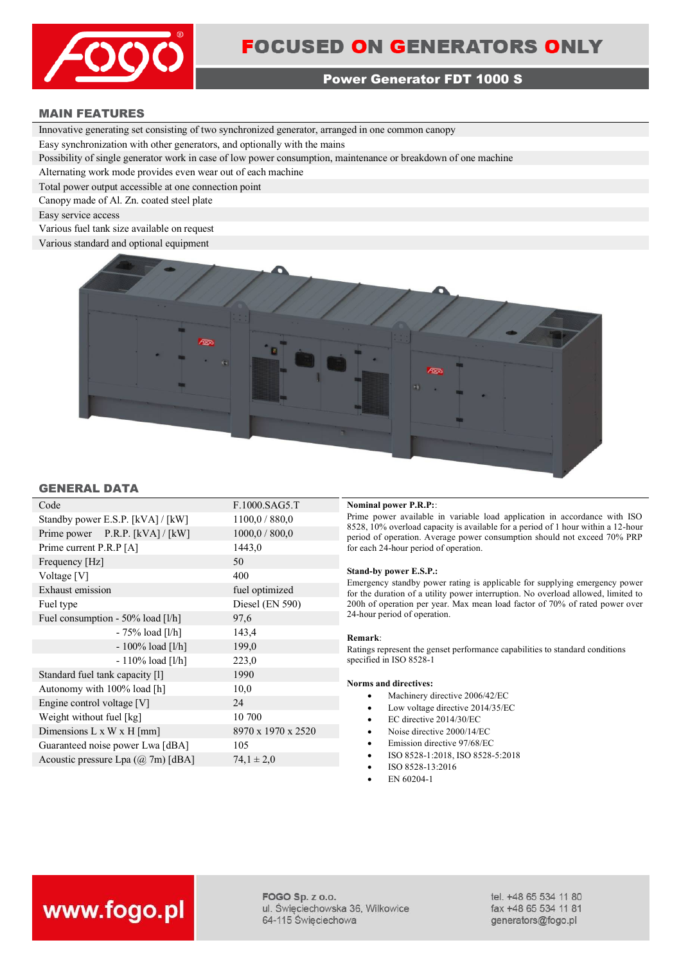

### **Power Generator FDT 1000 S**

### **MAIN FEATURES**

Innovative generating set consisting of two synchronized generator, arranged in one common canopy

Easy synchronization with other generators, and optionally with the mains

Possibility of single generator work in case of low power consumption, maintenance or breakdown of one machine

Alternating work mode provides even wear out of each machine

Total power output accessible at one connection point

Canopy made of Al. Zn. coated steel plate

Easy service access

Various fuel tank size available on request

Various standard and optional equipment



### **GENERAL DATA**

| Code                                  | F.1000.SAG5.T      |
|---------------------------------------|--------------------|
| Standby power E.S.P. [kVA] / [kW]     | 1100,0 / 880,0     |
| Prime power P.R.P. [kVA] / [kW]       | 1000,0 / 800,0     |
| Prime current P.R.P [A]               | 1443,0             |
| Frequency [Hz]                        | 50                 |
| Voltage [V]                           | 400                |
| Exhaust emission                      | fuel optimized     |
| Fuel type                             | Diesel (EN 590)    |
| Fuel consumption - 50% load [l/h]     | 97,6               |
| - 75% load [l/h]                      | 143,4              |
| $-100\%$ load [l/h]                   | 199,0              |
| $-110\%$ load [l/h]                   | 223,0              |
| Standard fuel tank capacity [1]       | 1990               |
| Autonomy with 100% load [h]           | 10,0               |
| Engine control voltage [V]            | 24                 |
| Weight without fuel [kg]              | 10 700             |
| Dimensions $L \times W \times H$ [mm] | 8970 x 1970 x 2520 |
| Guaranteed noise power Lwa [dBA]      | 105                |
| Acoustic pressure Lpa (@ 7m) [dBA]    | $74.1 \pm 2.0$     |
|                                       |                    |

### **Nominal power P.R.P::**

Prime power available in variable load application in accordance with ISO 8528, 10% overload capacity is available for a period of 1 hour within a 12-hour period of operation. Average power consumption should not exceed 70% PRP for each 24-hour period of operation.

### **Stand-by power E.S.P.:**

Emergency standby power rating is applicable for supplying emergency power for the duration of a utility power interruption. No overload allowed, limited to 200h of operation per year. Max mean load factor of 70% of rated power over 24-hour period of operation.

### **Remark**:

Ratings represent the genset performance capabilities to standard conditions specified in ISO 8528-1

### **Norms and directives:**

- Machinery directive 2006/42/EC
- Low voltage directive 2014/35/EC
- EC directive 2014/30/EC
- Noise directive 2000/14/EC
- Emission directive 97/68/EC
- ISO 8528-1:2018, ISO 8528-5:2018
- ISO 8528-13:2016
- EN 60204-1

# www.fogo.pl

FOGO Sp. z o.o. ul. Święciechowska 36, Wilkowice 64-115 Święciechowa

tel. +48 65 534 11 80 fax +48 65 534 11 81 generators@fogo.pl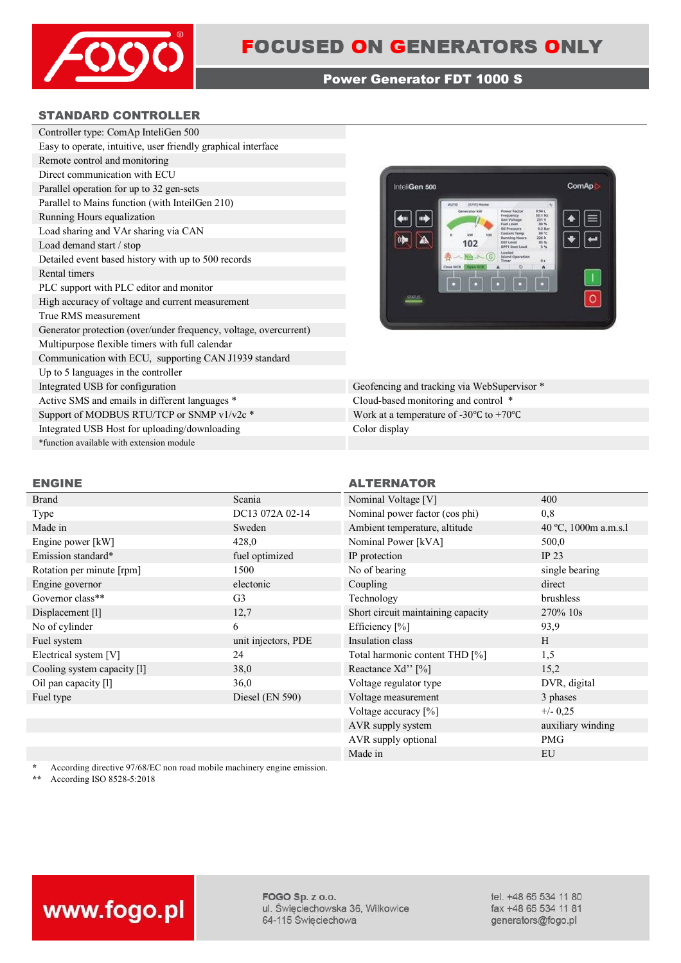

### **Power Generator FDT 1000 S**

### **STANDARD CONTROLLER**

| Controller type: ComAp InteliGen 500                              |
|-------------------------------------------------------------------|
| Easy to operate, intuitive, user friendly graphical interface     |
| Remote control and monitoring                                     |
| Direct communication with ECU                                     |
| Parallel operation for up to 32 gen-sets                          |
| Parallel to Mains function (with InteilGen 210)                   |
| Running Hours equalization                                        |
| Load sharing and VAr sharing via CAN                              |
| Load demand start / stop                                          |
| Detailed event based history with up to 500 records               |
| Rental timers                                                     |
| PLC support with PLC editor and monitor                           |
| High accuracy of voltage and current measurement                  |
| True RMS measurement                                              |
| Generator protection (over/under frequency, voltage, overcurrent) |
| Multipurpose flexible timers with full calendar                   |
| Communication with ECU, supporting CAN J1939 standard             |
| Up to 5 languages in the controller                               |
| Integrated USB for configuration                                  |
| Active SMS and emails in different languages *                    |
| Support of MODBUS RTU/TCP or SNMP v1/v2c *                        |
| Integrated USB Host for uploading/downloading                     |
| *function available with extension module                         |



Geofencing and tracking via WebSupervisor \* Cloud-based monitoring and control \* Work at a temperature of -30°C to +70°C Color display

| <b>Brand</b>                | Scania              | Nominal Voltage [V]                      | 400            |
|-----------------------------|---------------------|------------------------------------------|----------------|
| Type                        | DC13 072A 02-14     | Nominal power factor (cos phi)           | 0,8            |
| Made in                     | Sweden              | Ambient temperature, altitude            | 40 °C, 1000m   |
| Engine power [kW]           | 428,0               | Nominal Power [kVA]                      | 500,0          |
| Emission standard*          | fuel optimized      | IP protection                            | IP $23$        |
| Rotation per minute [rpm]   | 1500                | No of bearing                            | single bearing |
| Engine governor             | electonic           | Coupling                                 | direct         |
| Governor class**            | G <sub>3</sub>      | Technology                               | brushless      |
| Displacement [1]            | 12,7                | Short circuit maintaining capacity       | 270% 10s       |
| No of cylinder              | 6                   | Efficiency $[\%]$                        | 93,9           |
| Fuel system                 | unit injectors, PDE | Insulation class                         | H              |
| Electrical system [V]       | 24                  | Total harmonic content THD [%]           | 1,5            |
| Cooling system capacity [1] | 38,0                | Reactance Xd'' [%]                       | 15,2           |
| Oil pan capacity [1]        | 36,0                | Voltage regulator type                   | DVR, digital   |
| Fuel type                   | Diesel (EN 590)     | Voltage measurement                      | 3 phases       |
|                             |                     | $V_0$ <sup>1</sup> tage acquisar $[0/1]$ | $\sqrt{2}$     |

### **ENGINE ALTERNATOR**

| Brand                       | Scania              | Nominal Voltage [V]                | 400                  |
|-----------------------------|---------------------|------------------------------------|----------------------|
| Type                        | DC13 072A 02-14     | Nominal power factor (cos phi)     | 0,8                  |
| Made in                     | Sweden              | Ambient temperature, altitude      | 40 °C, 1000m a.m.s.l |
| Engine power [kW]           | 428,0               | Nominal Power [kVA]                | 500,0                |
| Emission standard*          | fuel optimized      | IP protection                      | IP $23$              |
| Rotation per minute [rpm]   | 1500                | No of bearing                      | single bearing       |
| Engine governor             | electonic           | Coupling                           | direct               |
| Governor class**            | G <sub>3</sub>      | Technology                         | brushless            |
| Displacement [1]            | 12,7                | Short circuit maintaining capacity | 270% 10s             |
| No of cylinder              | 6                   | Efficiency [%]                     | 93,9                 |
| Fuel system                 | unit injectors, PDE | Insulation class                   | H                    |
| Electrical system [V]       | 24                  | Total harmonic content THD [%]     | 1,5                  |
| Cooling system capacity [1] | 38,0                | Reactance Xd'' [%]                 | 15,2                 |
| Oil pan capacity [1]        | 36,0                | Voltage regulator type             | DVR, digital         |
| Fuel type                   | Diesel (EN 590)     | Voltage measurement                | 3 phases             |
|                             |                     | Voltage accuracy [%]               | $+/- 0,25$           |
|                             |                     | AVR supply system                  | auxiliary winding    |
|                             |                     | AVR supply optional                | <b>PMG</b>           |
|                             |                     | Made in                            | EU                   |
|                             |                     |                                    |                      |

\* According directive 97/68/EC non road mobile machinery engine emission.<br>\*\* According ISO 8528-5:2018

**\*\*** According ISO 8528-5:2018



FOGO Sp. z o.o. ul. Święciechowska 36, Wilkowice 64-115 Święciechowa

tel. +48 65 534 11 80 fax +48 65 534 11 81 generators@fogo.pl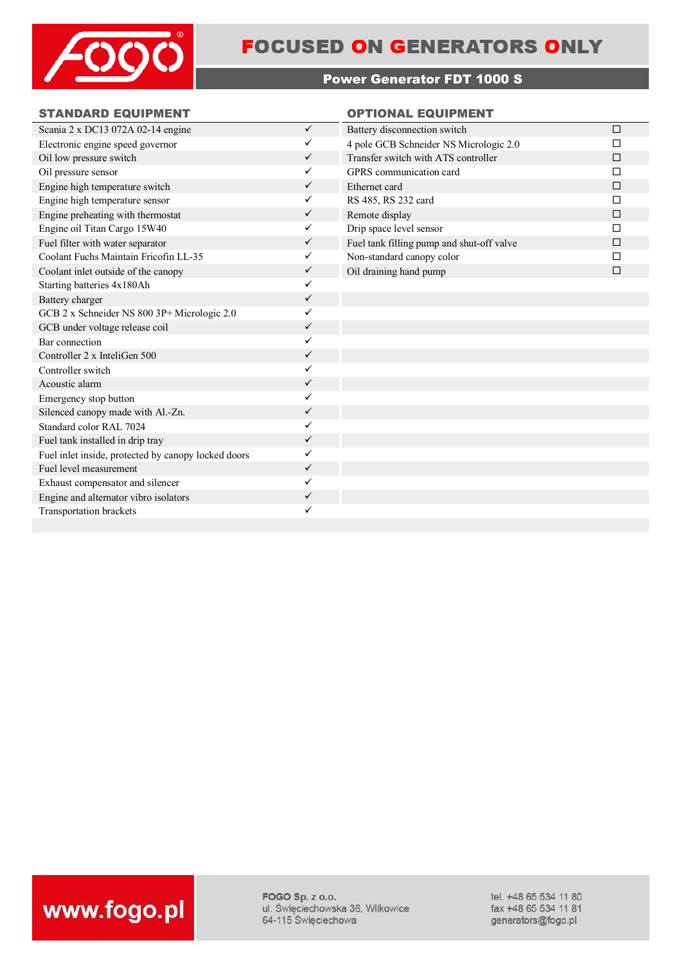

## **FOCUSED ON GENERATORS ONLY**

### **Power Generator FDT 1000 S**

### **STANDARD EQUIPMENT OPTIONAL EQUIPMENT**

| Scania 2 x DC13 072A 02-14 engine                   | $\checkmark$ | Battery disconnection switch              | $\Box$ |
|-----------------------------------------------------|--------------|-------------------------------------------|--------|
| Electronic engine speed governor                    | ✓            | 4 pole GCB Schneider NS Micrologic 2.0    | П      |
| Oil low pressure switch                             | $\checkmark$ | Transfer switch with ATS controller       | П      |
| Oil pressure sensor                                 | $\checkmark$ | GPRS communication card                   | П      |
| Engine high temperature switch                      | ✓            | Ethernet card                             | П      |
| Engine high temperature sensor                      | ✓            | RS 485, RS 232 card                       | П      |
| Engine preheating with thermostat                   | ✓            | Remote display                            | □      |
| Engine oil Titan Cargo 15W40                        | ✓            | Drip space level sensor                   | П      |
| Fuel filter with water separator                    | ✓            | Fuel tank filling pump and shut-off valve | $\Box$ |
| Coolant Fuchs Maintain Fricofin LL-35               | $\checkmark$ | Non-standard canopy color                 | П      |
| Coolant inlet outside of the canopy                 | ✓            | Oil draining hand pump                    | $\Box$ |
| Starting batteries 4x180Ah                          | $\checkmark$ |                                           |        |
| Battery charger                                     | $\checkmark$ |                                           |        |
| GCB 2 x Schneider NS 800 3P+ Micrologic 2.0         |              |                                           |        |
| GCB under voltage release coil                      | $\checkmark$ |                                           |        |
| Bar connection                                      | $\checkmark$ |                                           |        |
| Controller 2 x InteliGen 500                        | ✓            |                                           |        |
| Controller switch                                   | ✓            |                                           |        |
| Acoustic alarm                                      | ✓            |                                           |        |
| Emergency stop button                               | $\checkmark$ |                                           |        |
| Silenced canopy made with Al.-Zn.                   | ✓            |                                           |        |
| Standard color RAL 7024                             | ✓            |                                           |        |
| Fuel tank installed in drip tray                    | ✓            |                                           |        |
| Fuel inlet inside, protected by canopy locked doors | ✓            |                                           |        |
| Fuel level measurement                              | ✓            |                                           |        |
| Exhaust compensator and silencer                    | ✓            |                                           |        |
| Engine and alternator vibro isolators               | ✓            |                                           |        |
| Transportation brackets                             | ✓            |                                           |        |
|                                                     |              |                                           |        |

FOGO Sp. z o.o. ul. Święciechowska 36, Wilkowice 64-115 Święciechowa

tel. +48 65 534 11 80 fax +48 65 534 11 81 generators@fogo.pl